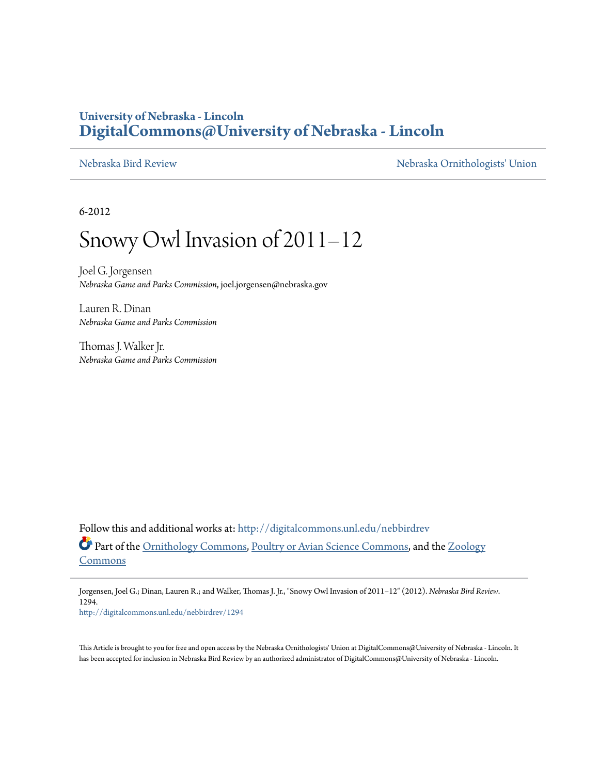## **University of Nebraska - Lincoln [DigitalCommons@University of Nebraska - Lincoln](http://digitalcommons.unl.edu?utm_source=digitalcommons.unl.edu%2Fnebbirdrev%2F1294&utm_medium=PDF&utm_campaign=PDFCoverPages)**

[Nebraska Bird Review](http://digitalcommons.unl.edu/nebbirdrev?utm_source=digitalcommons.unl.edu%2Fnebbirdrev%2F1294&utm_medium=PDF&utm_campaign=PDFCoverPages) [Nebraska Ornithologists' Union](http://digitalcommons.unl.edu/nebornithologists?utm_source=digitalcommons.unl.edu%2Fnebbirdrev%2F1294&utm_medium=PDF&utm_campaign=PDFCoverPages)

6-2012

# Snowy Owl Invasion of 2011–12

Joel G. Jorgensen *Nebraska Game and Parks Commission*, joel.jorgensen@nebraska.gov

Lauren R. Dinan *Nebraska Game and Parks Commission*

Thomas J. Walker Jr. *Nebraska Game and Parks Commission*

Follow this and additional works at: [http://digitalcommons.unl.edu/nebbirdrev](http://digitalcommons.unl.edu/nebbirdrev?utm_source=digitalcommons.unl.edu%2Fnebbirdrev%2F1294&utm_medium=PDF&utm_campaign=PDFCoverPages) Part of the [Ornithology Commons](http://network.bepress.com/hgg/discipline/1190?utm_source=digitalcommons.unl.edu%2Fnebbirdrev%2F1294&utm_medium=PDF&utm_campaign=PDFCoverPages), [Poultry or Avian Science Commons,](http://network.bepress.com/hgg/discipline/80?utm_source=digitalcommons.unl.edu%2Fnebbirdrev%2F1294&utm_medium=PDF&utm_campaign=PDFCoverPages) and the [Zoology](http://network.bepress.com/hgg/discipline/81?utm_source=digitalcommons.unl.edu%2Fnebbirdrev%2F1294&utm_medium=PDF&utm_campaign=PDFCoverPages) [Commons](http://network.bepress.com/hgg/discipline/81?utm_source=digitalcommons.unl.edu%2Fnebbirdrev%2F1294&utm_medium=PDF&utm_campaign=PDFCoverPages)

Jorgensen, Joel G.; Dinan, Lauren R.; and Walker, Thomas J. Jr., "Snowy Owl Invasion of 2011–12" (2012). *Nebraska Bird Review*. 1294.

[http://digitalcommons.unl.edu/nebbirdrev/1294](http://digitalcommons.unl.edu/nebbirdrev/1294?utm_source=digitalcommons.unl.edu%2Fnebbirdrev%2F1294&utm_medium=PDF&utm_campaign=PDFCoverPages)

This Article is brought to you for free and open access by the Nebraska Ornithologists' Union at DigitalCommons@University of Nebraska - Lincoln. It has been accepted for inclusion in Nebraska Bird Review by an authorized administrator of DigitalCommons@University of Nebraska - Lincoln.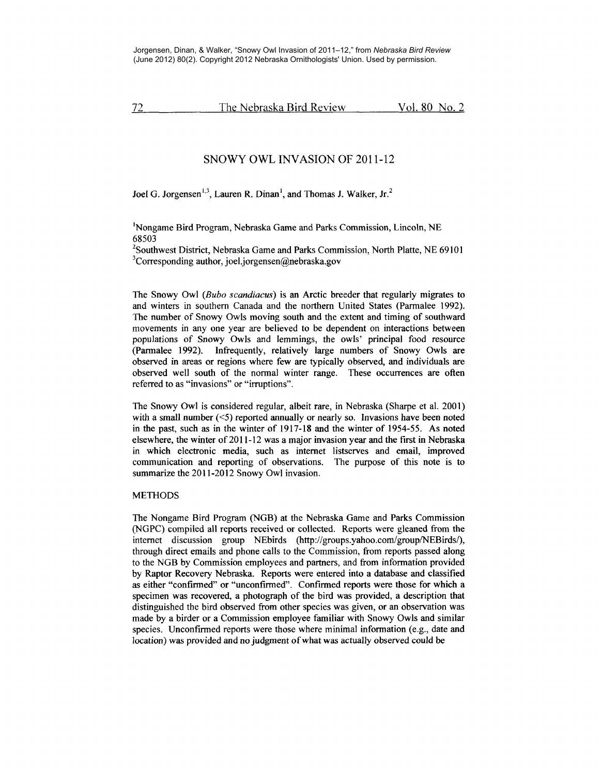72 The Nebraska Bird Review Vol. 80 No. 2

### SNOWY OWL INVASION OF 2011-12

Joel G. Jorgensen<sup>1,3</sup>, Lauren R. Dinan<sup>1</sup>, and Thomas J. Walker, Jr.<sup>2</sup>

<sup>1</sup>Nongame Bird Program, Nebraska Game and Parks Commission, Lincoln, NE 68503

<sup>2</sup>Southwest District, Nebraska Game and Parks Commission, North Platte, NE 69101<br><sup>3</sup>Corresponding author, joel jorgensen@pebraska.gov  ${}^{3}$ Corresponding author, joel.jorgensen@nebraska.gov

The Snowy Owl *(Bubo scandiacus)* is an Arctic breeder that regularly migrates to and winters in southern Canada and the northern United States (Parmalee 1992). The number of Snowy Owls moving south and the extent and timing of southward movements in any one year are believed to be dependent on interactions between populations of Snowy Owls and lemmings, the owls' principal food resource (Parmalee 1992). Infrequently, relatively large numbers of Snowy Owls are observed in areas or regions where few are typically observed, and individuals are observed well south of the normal winter range. These occurrences are often referred to as "invasions" or "irruptions".

The Snowy Owl is considered regular, albeit rare, in Nebraska (Sharpe et al. 2001) with a small number  $(\leq 5)$  reported annually or nearly so. Invasions have been noted in the past, such as in the winter of 1917-18 and the winter of 1954-55. As noted elsewhere, the winter of 2011-12 was a major invasion year and the first in Nebraska in which electronic media, such as internet listserves and email, improved communication and reporting of observations. The purpose of this note is to summarize the 2011-2012 Snowy Owl invasion.

#### **METHODS**

The Nongame Bird Program (NGB) at the Nebraska Game and Parks Commission (NGPC) compiled all reports received or collected. Reports were gleaned from the internet discussion group NEbirds (http://groups.yahoo.com/group/NEBirds/), through direct emails and phone calls to the Commission, from reports passed along to the NGB by Commission employees and partners, and from information provided by Raptor Recovery Nebraska. Reports were entered into a database and classified as either "confirmed" or "unconfirmed". Confirmed reports were those for which a specimen was recovered, a photograph of the bird was provided, a description that distinguished the bird observed from other species was given, or an observation was made by a birder or a Commission employee familiar with Snowy Owls and similar species. Unconfirmed reports were those where minimal information (e.g., date and location) was provided and no judgment of what was actually observed could be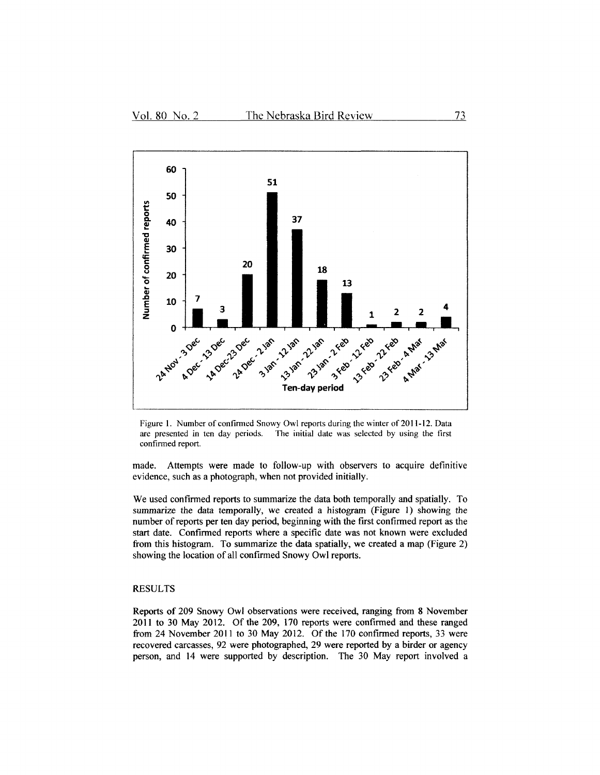

Figure 1. Number of confirmed Snowy Owl reports during the winter of 2011-12. Data are presented in ten day periods. The initial date was selected by using the first confirmed report.

made. Attempts were made to follow-up with observers to acquire definitive evidence, such as a photograph, when not provided initially.

We used confirmed reports to summarize the data both temporally and spatially. To summarize the data temporally, we created a histogram (Figure I) showing the number of reports per ten day period, beginning with the first confirmed report as the start date. Confirmed reports where a specific date was not known were excluded from this histogram. To summarize the data spatially, we created a map (Figure 2) showing the location of all confirmed Snowy Owl reports.

#### RESULTS

Reports of 209 Snowy Owl observations were received, ranging from 8 November 2011 to 30 May 2012. Of the 209, 170 reports were confirmed and these ranged from 24 November 2011 to 30 May 2012. Of the 170 confirmed reports, 33 were recovered carcasses, 92 were photographed, 29 were reported by a birder or agency person, and 14 were supported by description. The 30 May report involved a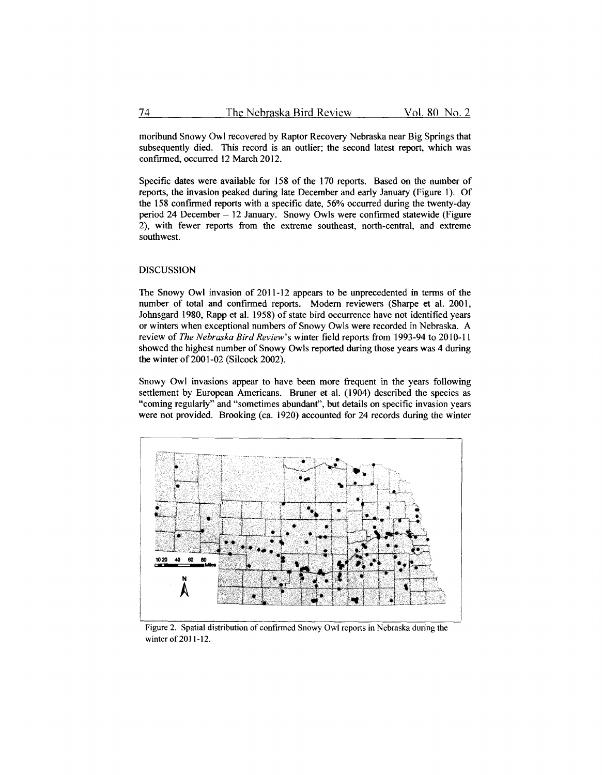moribund Snowy Owl recovered by Raptor Recovery Nebraska near Big Springs that subsequently died. This record is an outlier; the second latest report, which was confirmed, occurred 12 March 2012.

Specific dates were available for 158 of the 170 reports. Based on the number of reports, the invasion peaked during late December and early January (Figure I). Of the 158 confirmed reports with a specific date, 56% occurred during the twenty-day period 24 December - 12 January. Snowy Owls were confirmed statewide (Figure 2), with fewer reports from the extreme southeast, north-central, and extreme southwest.

#### DISCUSSION

The Snowy Owl invasion of 2011-12 appears to be unprecedented in terms of the number of total and confirmed reports. Modem reviewers (Sharpe et al. 2001, Johnsgard 1980, Rapp et al. 1958) of state bird occurrence have not identified years or winters when exceptional numbers of Snowy Owls were recorded in Nebraska. A review of *The Nebraska Bird Review's* winter field reports from 1993-94 to 2010-11 showed the highest number of Snowy Owls reported during those years was 4 during the winter of 2001-02 (Silcock 2002).

Snowy Owl invasions appear to have been more frequent in the years following settlement by European Americans. Bruner et al. (1904) described the species as "coming regularly" and "sometimes abundant", but details on specific invasion years were not provided. Brooking (ca. 1920) accounted for 24 records during the winter



Figure 2. Spatial distribution of confirmed Snowy Owl reports in Nebraska during the winter of 2011-12.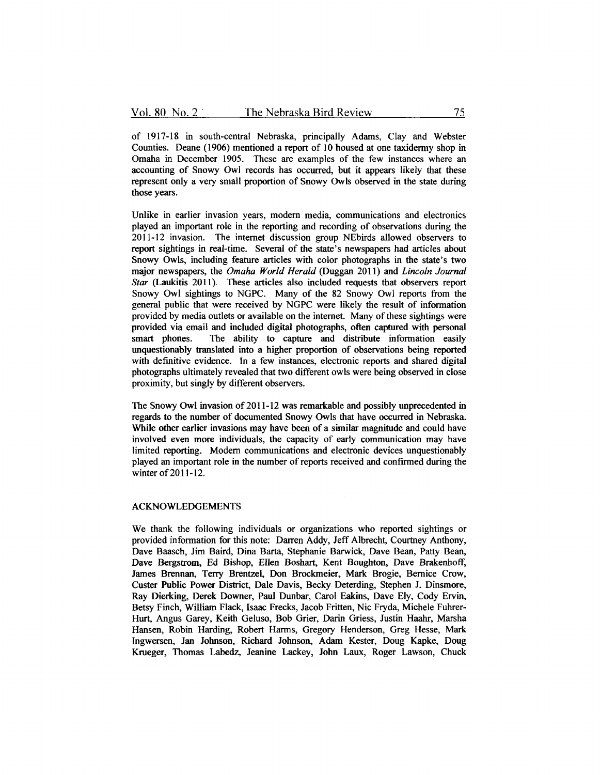of 1917-18 in south-central Nebraska, principally Adams, Clay and Webster Counties. Deane ( 1906) mentioned a report of 10 housed at one taxidermy shop in Omaha in December 1905. These are examples of the few instances where an accounting of Snowy Owl records has occurred, but it appears likely that these represent only a very small proportion of Snowy Owls observed in the state during those years.

Unlike in earlier invasion years, modem media, communications and electronics played an important role in the reporting and recording of observations during the 2011-12 invasion. The internet discussion group NEbirds allowed observers to report sightings in real-time. Several of the state's newspapers had articles about Snowy Owls, including feature articles with color photographs in the state's two major newspapers, the *Omaha World Herald* (Duggan 2011) and *Lincoln Journal Star* (Laukitis 2011). These articles also included requests that observers report Snowy Owl sightings to NGPC. Many of the 82 Snowy Owl reports from the general public that were received by NGPC were likely the result of information provided by media outlets or available on the internet. Many of these sightings were provided via email and included digital photographs, often captured with personal The ability to capture and distribute information easily unquestionably translated into a higher proportion of observations being reported with definitive evidence. In a few instances, electronic reports and shared digital photographs ultimately revealed that two different owls were being observed in close proximity, but singly by different observers.

The Snowy Owl invasion of 2011-12 was remarkable and possibly unprecedented in regards to the number of documented Snowy Owls that have occurred in Nebraska. While other earlier invasions may have been of a similar magnitude and could have involved even more individuals, the capacity of early communication may have limited reporting. Modem communications and electronic devices unquestionably played an important role in the number of reports received and confirmed during the winter of 2011-12.

#### ACKNOWLEDGEMENTS

We thank the following individuals or organizations who reported sightings or provided information for this note: Darren Addy, Jeff Albrecht, Courtney Anthony, Dave Baasch, Jim Baird, Dina Barta, Stephanie Barwick, Dave Bean, Patty Bean, Dave Bergstrom, Ed Bishop, Ellen Boshart, Kent Boughton, Dave Brakenhoff, James Brennan, Terry Brentzel, Don Brockmeier, Mark Brogie, Bernice Crow, Custer Public Power District, Dale Davis, Becky Deterding, Stephen J. Dinsmore, Ray Dierking, Derek Downer, Paul Dunbar, Carol Eakins, Dave Ely, Cody Ervin, Betsy Finch, William Flack, Isaac Frecks, Jacob Fritten, Nie Fryda, Michele Fuhrer-Hurt, Angus Garey, Keith Geluso, Bob Grier, Darin Griess, Justin Haahr, Marsha Hansen, Robin Harding, Robert Harms, Gregory Henderson, Greg Hesse, Mark Ingwersen, Jan Johnson, Richard Johnson, Adam Kester, Doug Kapke, Doug Krueger, Thomas Labedz, Jeanine Lackey, John Laux, Roger Lawson, Chuck